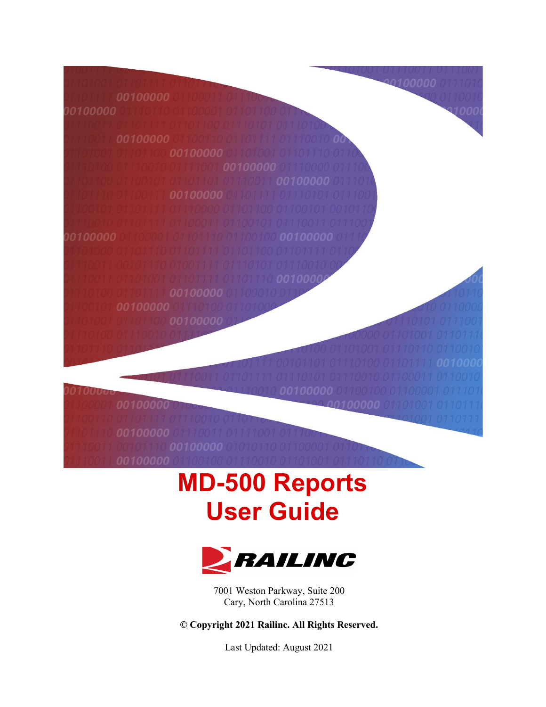100000 00100000 00100000 nn 00100000 0100000 00100000 00100000

# **MD-500 Reports User Guide**



7001 Weston Parkway, Suite 200 Cary, North Carolina 27513

**© Copyright 2021 Railinc. All Rights Reserved.**

Last Updated: August 2021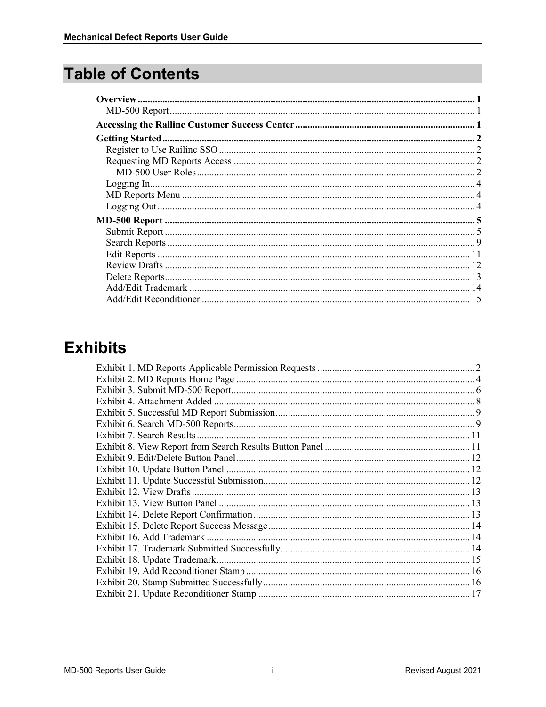# **Table of Contents**

# **Exhibits**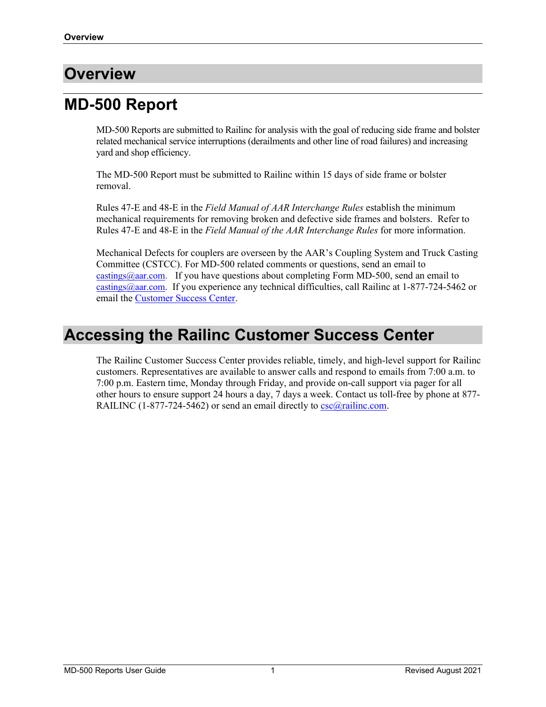### <span id="page-2-0"></span>**Overview**

# <span id="page-2-1"></span>**MD-500 Report**

MD-500 Reports are submitted to Railinc for analysis with the goal of reducing side frame and bolster related mechanical service interruptions (derailments and other line of road failures) and increasing yard and shop efficiency.

The MD-500 Report must be submitted to Railinc within 15 days of side frame or bolster removal.

Rules 47-E and 48-E in the *Field Manual of AAR Interchange Rules* establish the minimum mechanical requirements for removing broken and defective side frames and bolsters. Refer to Rules 47-E and 48-E in the *Field Manual of the AAR Interchange Rules* for more information.

Mechanical Defects for couplers are overseen by the AAR's Coupling System and Truck Casting Committee (CSTCC). For MD-500 related comments or questions, send an email to  $\frac{\text{castings}(Q_{\text{aar.com}})}{Q_{\text{aar.com}}}$ . If you have questions about completing Form MD-500, send an email to [castings@aar.com.](mailto:castings@aar.com) If you experience any technical difficulties, call Railinc at 1-877-724-5462 or email the [Customer Success Center.](mailto:csc@railinc.com)

### <span id="page-2-2"></span>**Accessing the Railinc Customer Success Center**

The Railinc Customer Success Center provides reliable, timely, and high-level support for Railinc customers. Representatives are available to answer calls and respond to emails from 7:00 a.m. to 7:00 p.m. Eastern time, Monday through Friday, and provide on-call support via pager for all other hours to ensure support 24 hours a day, 7 days a week. Contact us toll-free by phone at 877- RAILINC (1-877-724-5462) or send an email directly to  $\csc(\theta x)$  railinc.com.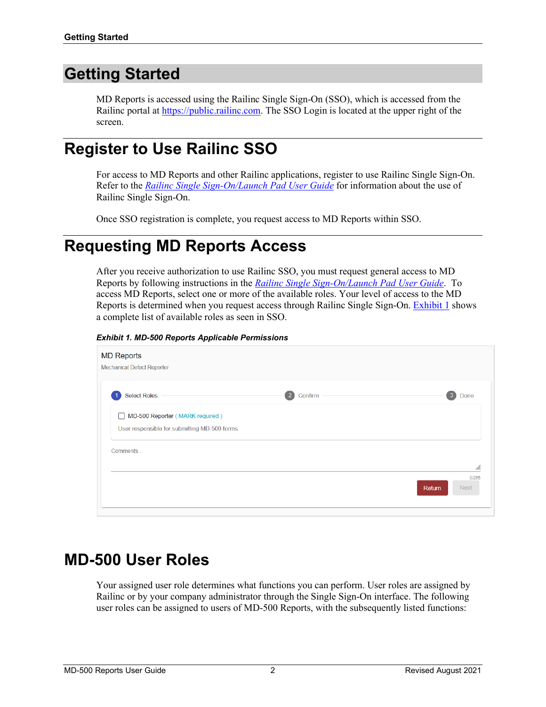# <span id="page-3-0"></span>**Getting Started**

MD Reports is accessed using the Railinc Single Sign-On (SSO), which is accessed from the Railinc portal at [https://public.railinc.com.](https://public.railinc.com/) The SSO Login is located at the upper right of the screen.

### <span id="page-3-1"></span>**Register to Use Railinc SSO**

For access to MD Reports and other Railinc applications, register to use Railinc Single Sign-On. Refer to the *[Railinc Single Sign-On/Launch Pad User Guide](https://public.railinc.com/sites/default/files/documents/SSOUserGuide.pdf)* for information about the use of Railinc Single Sign-On.

Once SSO registration is complete, you request access to MD Reports within SSO.

# <span id="page-3-2"></span>**Requesting MD Reports Access**

After you receive authorization to use Railinc SSO, you must request general access to MD Reports by following instructions in the *[Railinc Single Sign-On/Launch Pad User Guide](https://public.railinc.com/sites/default/files/documents/SSOUserGuide.pdf)*. To access MD Reports, select one or more of the available roles. Your level of access to the MD Reports is determined when you request access through Railinc Single Sign-On. [Exhibit 1](#page-3-4) shows a complete list of available roles as seen in SSO.

<span id="page-3-4"></span>*Exhibit 1. MD-500 Reports Applicable Permissions*

| <b>MD Reports</b><br><b>Mechanical Defect Reporter</b>                                          |                             |                      |
|-------------------------------------------------------------------------------------------------|-----------------------------|----------------------|
| <b>Select Roles</b>                                                                             | $\left(2\right)$<br>Confirm | 3<br>Done            |
| MD-500 Reporter (MARK required)<br>$\mathsf{L}$<br>User responsible for submitting MD-500 forms |                             |                      |
| Comments                                                                                        |                             | //.                  |
|                                                                                                 | Return                      | 0/255<br><b>Next</b> |

### <span id="page-3-3"></span>**MD-500 User Roles**

Your assigned user role determines what functions you can perform. User roles are assigned by Railinc or by your company administrator through the Single Sign-On interface. The following user roles can be assigned to users of MD-500 Reports, with the subsequently listed functions: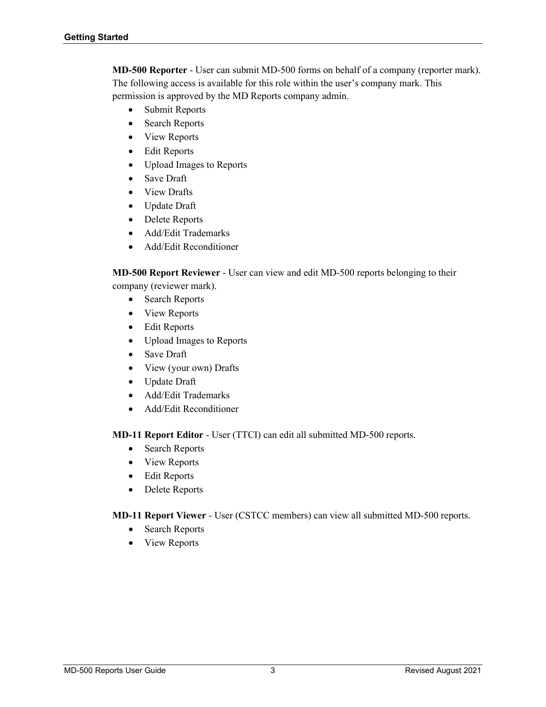**MD-500 Reporter** - User can submit MD-500 forms on behalf of a company (reporter mark). The following access is available for this role within the user's company mark. This permission is approved by the MD Reports company admin.

- Submit Reports
- Search Reports
- View Reports
- **Edit Reports**
- Upload Images to Reports
- Save Draft
- View Drafts
- Update Draft
- Delete Reports
- Add/Edit Trademarks
- Add/Edit Reconditioner

**MD-500 Report Reviewer** - User can view and edit MD-500 reports belonging to their company (reviewer mark).

- Search Reports
- View Reports
- Edit Reports
- Upload Images to Reports
- Save Draft
- View (your own) Drafts
- Update Draft
- Add/Edit Trademarks
- Add/Edit Reconditioner

**MD-11 Report Editor** - User (TTCI) can edit all submitted MD-500 reports.

- Search Reports
- View Reports
- Edit Reports
- Delete Reports

### **MD-11 Report Viewer** - User (CSTCC members) can view all submitted MD-500 reports.

- Search Reports
- View Reports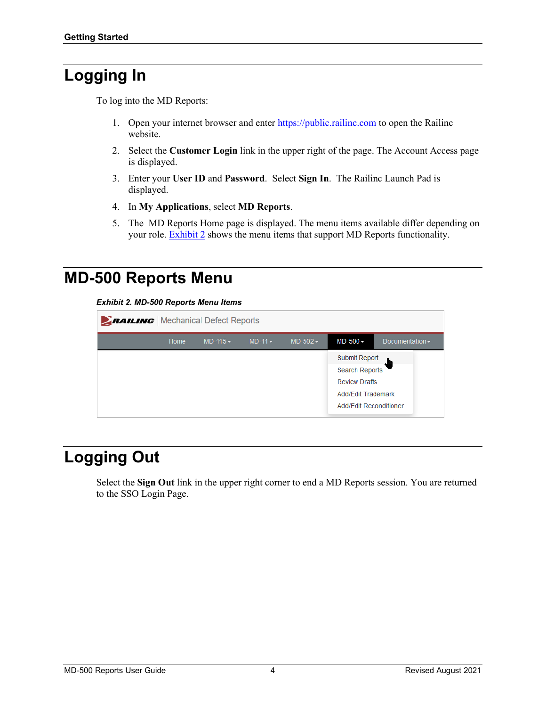# <span id="page-5-0"></span>**Logging In**

To log into the MD Reports:

- 1. Open your internet browser and enter [https://public.railinc.com](https://public.railinc.com/) to open the Railinc website.
- 2. Select the **Customer Login** link in the upper right of the page. The Account Access page is displayed.
- 3. Enter your **User ID** and **Password**. Select **Sign In**. The Railinc Launch Pad is displayed.
- 4. In **My Applications**, select **MD Reports**.
- 5. The MD Reports Home page is displayed. The menu items available differ depending on your role. **Exhibit 2** shows the menu items that support MD Reports functionality.

### <span id="page-5-3"></span><span id="page-5-1"></span>**MD-500 Reports Menu**

*Exhibit 2. MD-500 Reports Menu Items*

| <b>EAILING</b>   Mechanical Defect Reports |      |          |                 |          |                                                                                                                |                                     |  |  |  |
|--------------------------------------------|------|----------|-----------------|----------|----------------------------------------------------------------------------------------------------------------|-------------------------------------|--|--|--|
|                                            | Home | $MD-115$ | $MD-11$ $\star$ | $MD-502$ | $MD-500 -$                                                                                                     | Documentation $\blacktriangleright$ |  |  |  |
|                                            |      |          |                 |          | Submit Report<br><b>Search Reports</b><br><b>Review Drafts</b><br>Add/Fdit Trademark<br>Add/Edit Reconditioner |                                     |  |  |  |

# <span id="page-5-2"></span>**Logging Out**

Select the **Sign Out** link in the upper right corner to end a MD Reports session. You are returned to the SSO Login Page.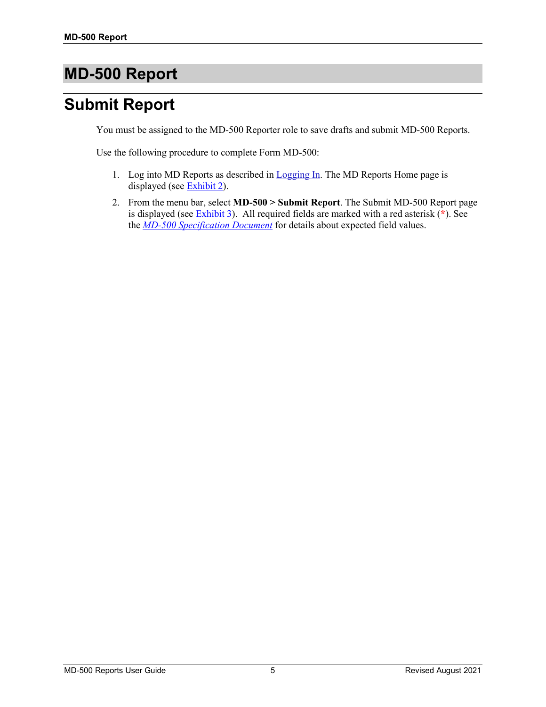# <span id="page-6-0"></span>**MD-500 Report**

# <span id="page-6-1"></span>**Submit Report**

You must be assigned to the MD-500 Reporter role to save drafts and submit MD-500 Reports.

Use the following procedure to complete Form MD-500:

- 1. Log into MD Reports as described in [Logging In.](#page-5-0) The MD Reports Home page is displayed (see [Exhibit 2\)](#page-5-3).
- 2. From the menu bar, select **MD-500 > Submit Report**. The Submit MD-500 Report page is displayed (see [Exhibit 3\)](#page-7-0). All required fields are marked with a red asterisk (**\***). See the *MD-500 [Specification Document](https://public.railinc.com/sites/default/files/documents/MD-500%20Spec%20Document.xlsx)* for details about expected field values.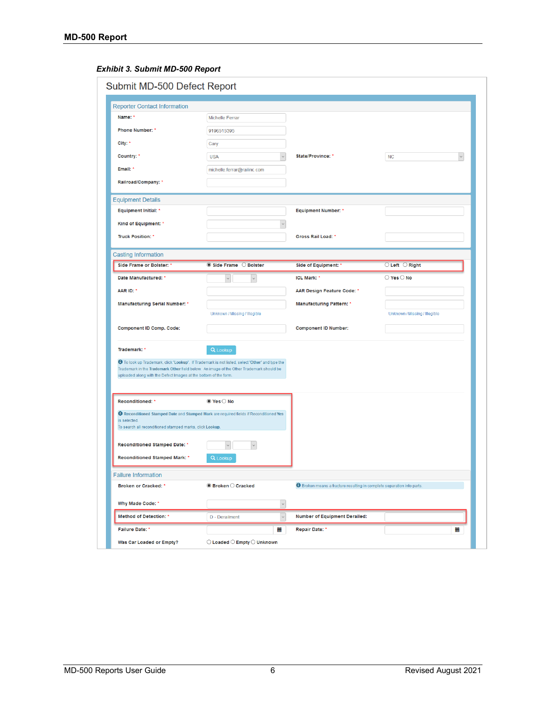### <span id="page-7-0"></span>*Exhibit 3. Submit MD-500 Report*

| Submit MD-500 Defect Report                                              |                                                                                                                                                                                                   |                                                                               |                                  |
|--------------------------------------------------------------------------|---------------------------------------------------------------------------------------------------------------------------------------------------------------------------------------------------|-------------------------------------------------------------------------------|----------------------------------|
| <b>Reporter Contact Information</b>                                      |                                                                                                                                                                                                   |                                                                               |                                  |
| Name: *                                                                  | <b>Michelle Ferrar</b>                                                                                                                                                                            |                                                                               |                                  |
| <b>Phone Number: *</b>                                                   | 9196515395                                                                                                                                                                                        |                                                                               |                                  |
| City: *                                                                  | Cary                                                                                                                                                                                              |                                                                               |                                  |
| Country: *                                                               | <b>USA</b>                                                                                                                                                                                        | State/Province: *                                                             | $\checkmark$<br><b>NC</b>        |
| Email: *                                                                 | michelle.ferrar@railinc.com                                                                                                                                                                       |                                                                               |                                  |
| Railroad/Company: *                                                      |                                                                                                                                                                                                   |                                                                               |                                  |
| <b>Equipment Details</b>                                                 |                                                                                                                                                                                                   |                                                                               |                                  |
| <b>Equipment Initial: *</b>                                              |                                                                                                                                                                                                   | <b>Equipment Number: *</b>                                                    |                                  |
| Kind of Equipment: *                                                     |                                                                                                                                                                                                   |                                                                               |                                  |
| <b>Truck Position: *</b>                                                 |                                                                                                                                                                                                   | Gross Rail Load: *                                                            |                                  |
| <b>Casting Information</b>                                               |                                                                                                                                                                                                   |                                                                               |                                  |
| Side Frame or Bolster: '                                                 | Side Frame C Bolster                                                                                                                                                                              | Side of Equipment: *                                                          | $\bigcirc$ Left $\bigcirc$ Right |
| Date Manufactured: *                                                     |                                                                                                                                                                                                   | <b>ICL Mark: *</b>                                                            | $\bigcirc$ Yes $\bigcirc$ No     |
| AAR ID: *                                                                |                                                                                                                                                                                                   | AAR Design Feature Code: *                                                    |                                  |
| <b>Manufacturing Serial Number: *</b>                                    |                                                                                                                                                                                                   | <b>Manufacturing Pattern: *</b>                                               |                                  |
|                                                                          | Unknown / Missing / Illegible                                                                                                                                                                     |                                                                               | Unknown / Missing / Illegible    |
| <b>Component ID Comp. Code:</b>                                          |                                                                                                                                                                                                   | <b>Component ID Number:</b>                                                   |                                  |
| Trademark: *                                                             | Q Lookup                                                                                                                                                                                          |                                                                               |                                  |
| uploaded along with the Defect Images at the bottom of the form.         | <b>O</b> To look up Trademark, click 'Lookup'. If Trademark is not listed, select 'Other' and type the<br>Trademark in the Trademark Other field below. An image of the Other Trademark should be |                                                                               |                                  |
| Reconditioned: *                                                         | $\bullet$ Yes $\circ$ No                                                                                                                                                                          |                                                                               |                                  |
| is selected.<br>To search all reconditioned stamped marks, click Lookup. | <b>O</b> Reconditioned Stamped Date and Stamped Mark are required fields if Reconditioned Yes                                                                                                     |                                                                               |                                  |
| Reconditioned Stamped Date: *                                            |                                                                                                                                                                                                   |                                                                               |                                  |
| Reconditioned Stamped Mark: *                                            | Q Lookup                                                                                                                                                                                          |                                                                               |                                  |
| <b>Failure Information</b>                                               |                                                                                                                                                                                                   |                                                                               |                                  |
| <b>Broken or Cracked: *</b>                                              | $\bullet$ Broken $\circ$ Cracked                                                                                                                                                                  | <b>O</b> Broken means a fracture resulting in complete separation into parts. |                                  |
| Why Made Code: *                                                         | $\backsim$                                                                                                                                                                                        |                                                                               |                                  |
| <b>Method of Detection: *</b>                                            | $\checkmark$<br>D - Derailment                                                                                                                                                                    | <b>Number of Equipment Derailed:</b>                                          |                                  |
| <b>Failure Date: *</b>                                                   | 篇                                                                                                                                                                                                 | Repair Date: *                                                                | ≣                                |
| Was Car Loaded or Empty?                                                 | $\bigcirc$ Loaded $\bigcirc$ Empty $\bigcirc$ Unknown                                                                                                                                             |                                                                               |                                  |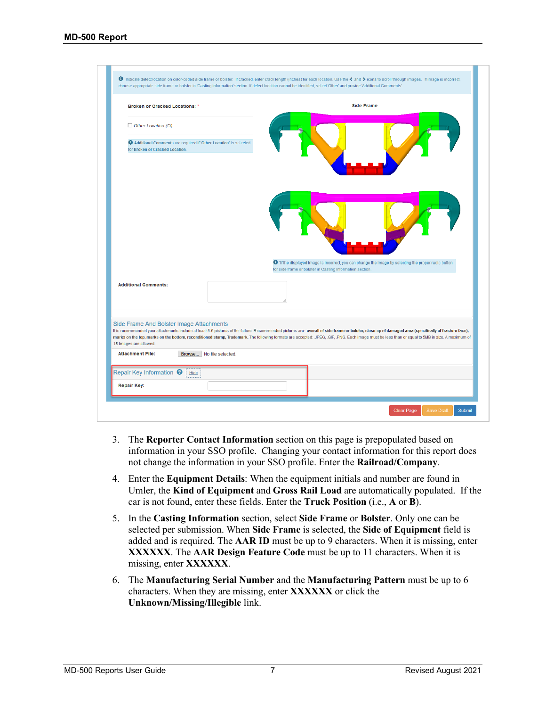| <b>Broken or Cracked Locations: *</b>                              |                                                                  | <b>Side Frame</b>                                                                                                                                                                                                                                                                                                                                                                                       |
|--------------------------------------------------------------------|------------------------------------------------------------------|---------------------------------------------------------------------------------------------------------------------------------------------------------------------------------------------------------------------------------------------------------------------------------------------------------------------------------------------------------------------------------------------------------|
| $\Box$ Other Location (O)                                          |                                                                  |                                                                                                                                                                                                                                                                                                                                                                                                         |
| for Broken or Cracked Location.                                    | Additional Comments are required if 'Other Location' is selected |                                                                                                                                                                                                                                                                                                                                                                                                         |
|                                                                    |                                                                  |                                                                                                                                                                                                                                                                                                                                                                                                         |
|                                                                    |                                                                  | O "If the displayed image is incorrect, you can change the image by selecting the proper radio button                                                                                                                                                                                                                                                                                                   |
| <b>Additional Comments:</b>                                        |                                                                  | for side frame or bolster in Casting Information section.                                                                                                                                                                                                                                                                                                                                               |
| Side Frame And Bolster Image Attachments<br>15 images are allowed. |                                                                  | It is recommended your attachments include at least 5-6 pictures of the failure. Recommended pictures are: overall of side frame or bolster, close-up of damaged area (specifically of fracture face),<br>marks on the top, marks on the bottom, reconditioned stamp, Trademark. The following formats are accepted: JPEG, GIF, PNG. Each image must be less than or equal to 5MB in size. A maximum of |
| <b>Attachment File:</b>                                            | Browse   No file selected.                                       |                                                                                                                                                                                                                                                                                                                                                                                                         |

- 3. The **Reporter Contact Information** section on this page is prepopulated based on information in your SSO profile. Changing your contact information for this report does not change the information in your SSO profile. Enter the **Railroad/Company**.
- 4. Enter the **Equipment Details**: When the equipment initials and number are found in Umler, the **Kind of Equipment** and **Gross Rail Load** are automatically populated. If the car is not found, enter these fields. Enter the **Truck Position** (i.e., **A** or **B**).
- 5. In the **Casting Information** section, select **Side Frame** or **Bolster**. Only one can be selected per submission. When **Side Frame** is selected, the **Side of Equipment** field is added and is required. The **AAR ID** must be up to 9 characters. When it is missing, enter **XXXXXX**. The **AAR Design Feature Code** must be up to 11 characters. When it is missing, enter **XXXXXX**.
- 6. The **Manufacturing Serial Number** and the **Manufacturing Pattern** must be up to 6 characters. When they are missing, enter **XXXXXX** or click the **Unknown/Missing/Illegible** link.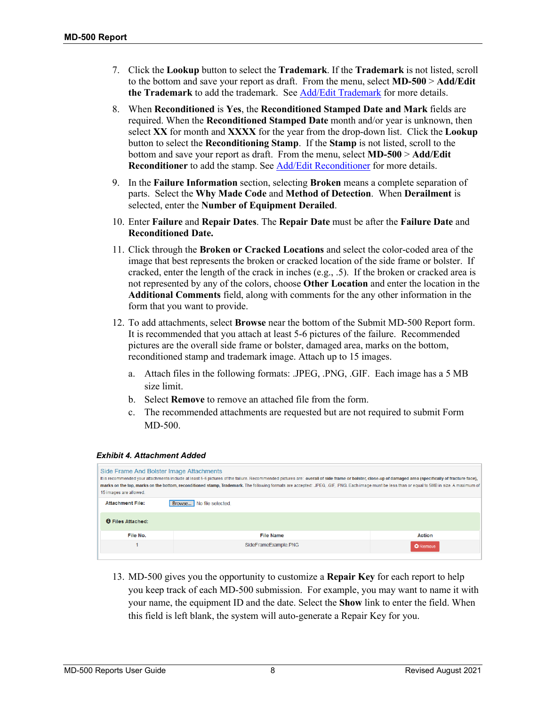- 7. Click the **Lookup** button to select the **Trademark**. If the **Trademark** is not listed, scroll to the bottom and save your report as draft. From the menu, select **MD-500** > **Add/Edit**  the Trademark to add the trademark. See **Add/Edit Trademark** for more details.
- 8. When **Reconditioned** is **Yes**, the **Reconditioned Stamped Date and Mark** fields are required. When the **Reconditioned Stamped Date** month and/or year is unknown, then select **XX** for month and **XXXX** for the year from the drop-down list. Click the **Lookup** button to select the **Reconditioning Stamp**. If the **Stamp** is not listed, scroll to the bottom and save your report as draft. From the menu, select **MD-500** > **Add/Edit**  Reconditioner to add the stamp. See **Add/Edit Reconditioner** for more details.
- 9. In the **Failure Information** section, selecting **Broken** means a complete separation of parts. Select the **Why Made Code** and **Method of Detection**. When **Derailment** is selected, enter the **Number of Equipment Derailed**.
- 10. Enter **Failure** and **Repair Dates**. The **Repair Date** must be after the **Failure Date** and **Reconditioned Date.**
- 11. Click through the **Broken or Cracked Locations** and select the color-coded area of the image that best represents the broken or cracked location of the side frame or bolster. If cracked, enter the length of the crack in inches (e.g., .5). If the broken or cracked area is not represented by any of the colors, choose **Other Location** and enter the location in the **Additional Comments** field, along with comments for the any other information in the form that you want to provide.
- 12. To add attachments, select **Browse** near the bottom of the Submit MD-500 Report form. It is recommended that you attach at least 5-6 pictures of the failure. Recommended pictures are the overall side frame or bolster, damaged area, marks on the bottom, reconditioned stamp and trademark image. Attach up to 15 images.
	- a. Attach files in the following formats: .JPEG, .PNG, .GIF. Each image has a 5 MB size limit.
	- b. Select **Remove** to remove an attached file from the form.
	- c. The recommended attachments are requested but are not required to submit Form MD-500.

| Side Frame And Bolster Image Attachments<br>It is recommended your attachments include at least 5-6 pictures of the failure. Recommended pictures are: overall of side frame or bolster, close-up of damaged area (specifically of fracture face),<br>marks on the top, marks on the bottom, reconditioned stamp, Trademark. The following formats are accepted: JPEG. GIF. PNG. Each image must be less than or equal to 5MB in size. A maximum of<br>15 images are allowed.<br><b>Attachment File:</b><br>No file selected.<br>Browse |                      |                 |  |  |  |  |  |
|-----------------------------------------------------------------------------------------------------------------------------------------------------------------------------------------------------------------------------------------------------------------------------------------------------------------------------------------------------------------------------------------------------------------------------------------------------------------------------------------------------------------------------------------|----------------------|-----------------|--|--|--|--|--|
| <b>O</b> Files Attached:                                                                                                                                                                                                                                                                                                                                                                                                                                                                                                                |                      |                 |  |  |  |  |  |
| File No.                                                                                                                                                                                                                                                                                                                                                                                                                                                                                                                                | <b>File Name</b>     | <b>Action</b>   |  |  |  |  |  |
|                                                                                                                                                                                                                                                                                                                                                                                                                                                                                                                                         | SideFrameExample.PNG | <b>O</b> Remove |  |  |  |  |  |

#### <span id="page-9-0"></span>*Exhibit 4. Attachment Added*

13. MD-500 gives you the opportunity to customize a **Repair Key** for each report to help you keep track of each MD-500 submission. For example, you may want to name it with your name, the equipment ID and the date. Select the **Show** link to enter the field. When this field is left blank, the system will auto-generate a Repair Key for you.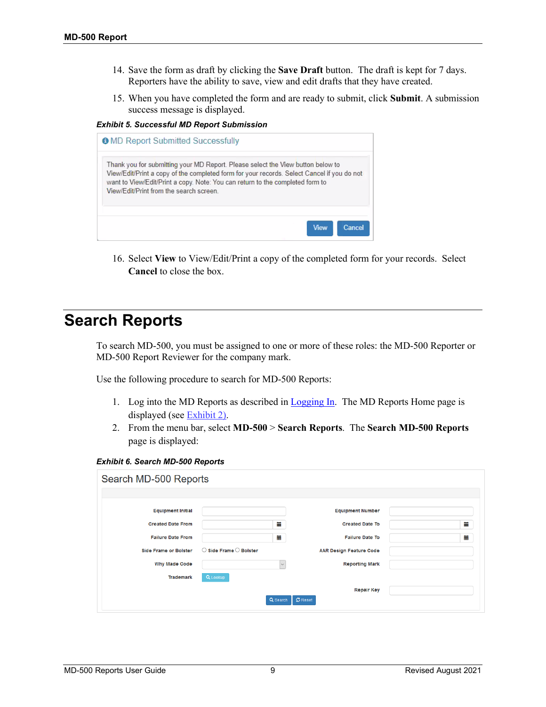- 14. Save the form as draft by clicking the **Save Draft** button. The draft is kept for 7 days. Reporters have the ability to save, view and edit drafts that they have created.
- 15. When you have completed the form and are ready to submit, click **Submit**. A submission success message is displayed.

<span id="page-10-1"></span>*Exhibit 5. Successful MD Report Submission*

| <b>O</b> MD Report Submitted Successfully                                                                                                                                                                                                                                                                 |
|-----------------------------------------------------------------------------------------------------------------------------------------------------------------------------------------------------------------------------------------------------------------------------------------------------------|
| Thank you for submitting your MD Report. Please select the View button below to<br>View/Edit/Print a copy of the completed form for your records. Select Cancel if you do not<br>want to View/Edit/Print a copy. Note: You can return to the completed form to<br>View/Edit/Print from the search screen. |
| <b>View</b><br>Cancel                                                                                                                                                                                                                                                                                     |

16. Select **View** to View/Edit/Print a copy of the completed form for your records. Select **Cancel** to close the box.

### <span id="page-10-0"></span>**Search Reports**

To search MD-500, you must be assigned to one or more of these roles: the MD-500 Reporter or MD-500 Report Reviewer for the company mark.

Use the following procedure to search for MD-500 Reports:

- 1. Log into the MD Reports as described in [Logging In.](#page-5-0) The MD Reports Home page is displayed (see [Exhibit 2\)](#page-5-3).
- 2. From the menu bar, select **MD-500** > **Search Reports**. The **Search MD-500 Reports** page is displayed:

<span id="page-10-2"></span>

|  |  |  |  | Exhibit 6. Search MD-500 Reports |
|--|--|--|--|----------------------------------|
|--|--|--|--|----------------------------------|

| Search MD-500 Reports        |                                          |          |                                |   |
|------------------------------|------------------------------------------|----------|--------------------------------|---|
|                              |                                          |          |                                |   |
| <b>Equipment Initial</b>     |                                          |          | <b>Equipment Number</b>        |   |
| <b>Created Date From</b>     |                                          | 盖        | <b>Created Date To</b>         | ≣ |
| <b>Failure Date From</b>     |                                          | ▦        | <b>Failure Date To</b>         | ▦ |
| <b>Side Frame or Bolster</b> | $\bigcirc$ Side Frame $\bigcirc$ Bolster |          | <b>AAR Design Feature Code</b> |   |
| <b>Why Made Code</b>         |                                          | $\vee$   | <b>Reporting Mark</b>          |   |
| <b>Trademark</b>             | Q Lookup                                 |          |                                |   |
|                              |                                          |          | <b>Repair Key</b>              |   |
|                              |                                          | Q Search | $C$ Reset                      |   |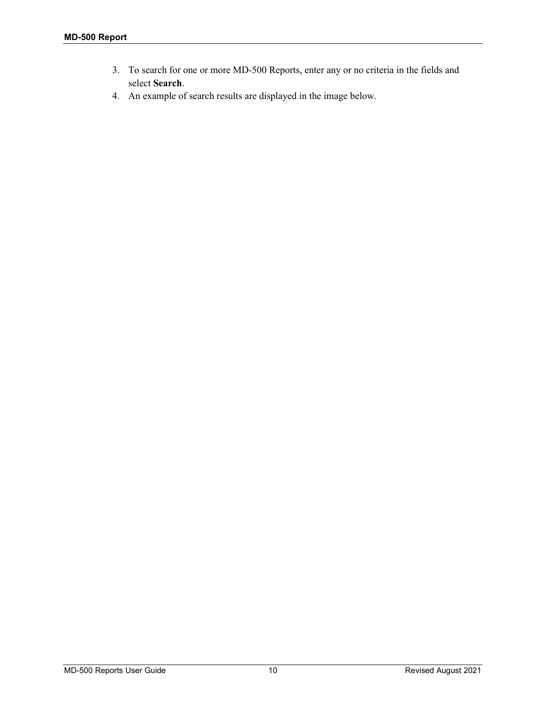- 3. To search for one or more MD-500 Reports, enter any or no criteria in the fields and select **Search**.
- 4. An example of search results are displayed in the image below.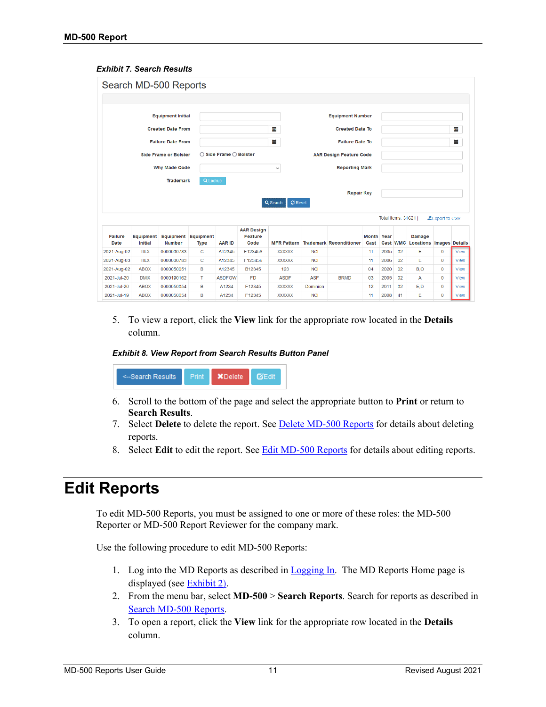#### <span id="page-12-1"></span>*Exhibit 7. Search Results*

|                        |                      | Search MD-500 Reports        |                                    |                        |                                      |                            |            |                                |                           |                    |          |                            |                       |             |
|------------------------|----------------------|------------------------------|------------------------------------|------------------------|--------------------------------------|----------------------------|------------|--------------------------------|---------------------------|--------------------|----------|----------------------------|-----------------------|-------------|
|                        |                      |                              |                                    |                        |                                      |                            |            |                                |                           |                    |          |                            |                       |             |
|                        |                      | <b>Equipment Initial</b>     |                                    |                        |                                      |                            |            | <b>Equipment Number</b>        |                           |                    |          |                            |                       |             |
|                        |                      | <b>Created Date From</b>     |                                    |                        |                                      | 臝                          |            | <b>Created Date To</b>         |                           |                    |          |                            |                       | m           |
|                        |                      | <b>Failure Date From</b>     |                                    |                        |                                      | 篇                          |            | <b>Failure Date To</b>         |                           |                    |          |                            |                       | 篇           |
|                        |                      | <b>Side Frame or Bolster</b> |                                    | ○ Side Frame ○ Bolster |                                      |                            |            | <b>AAR Design Feature Code</b> |                           |                    |          |                            |                       |             |
|                        |                      | <b>Why Made Code</b>         |                                    |                        |                                      | $\checkmark$               |            | <b>Reporting Mark</b>          |                           |                    |          |                            |                       |             |
|                        |                      | <b>Trademark</b>             |                                    |                        |                                      |                            |            |                                |                           |                    |          |                            |                       |             |
|                        |                      |                              | Q Lookup                           |                        |                                      |                            |            |                                |                           |                    |          |                            |                       |             |
|                        |                      |                              |                                    |                        |                                      | <b>C</b> Reset<br>Q Search |            | <b>Repair Key</b>              |                           |                    |          |                            |                       |             |
|                        |                      |                              |                                    |                        |                                      |                            |            |                                |                           | Total items: 31621 |          |                            | Export to CSV         |             |
| Failure<br><b>Date</b> | Equipment<br>Initial | <b>Number</b>                | <b>Equipment Equipment</b><br>Type | <b>AAR ID</b>          | <b>AAR Design</b><br>Feature<br>Code | <b>MFR Pattern</b>         |            | <b>Trademark Reconditioner</b> | <b>Month Year</b><br>Cast |                    | Cast WMC | Damage<br><b>Locations</b> | <b>Images Details</b> |             |
| 2021-Aug-02            | <b>TILX</b>          | 0000000783                   | C                                  | A12345                 | F123456                              | <b>XXXXXX</b>              | <b>NCI</b> |                                | 11                        | 2005               | 02       | Е                          | $\mathbf 0$           | <b>View</b> |
| 2021-Aug-03            | <b>TILX</b>          | 0000000783                   | C                                  | A12345                 | F123456                              | <b>XXXXXX</b>              | <b>NCI</b> |                                | 11                        | 2006               | 02       | E                          | $\bf{0}$              | <b>View</b> |
|                        |                      | 0000050051                   | B                                  | A12345                 | B12345                               | 123                        | <b>NCI</b> |                                | 04                        | 2020               | 02       | B.O                        | $\bf{0}$              |             |
| 2021-Aug-02            | <b>ABOX</b>          |                              |                                    |                        |                                      |                            |            |                                |                           |                    |          |                            |                       | View        |
| 2021-Jul-20            | <b>DMIX</b>          | 0000190162                   | T                                  | <b>ASDFGW</b>          | <b>FD</b>                            | <b>ASDF</b>                | <b>ASF</b> | <b>BRMD</b>                    | 03                        | 2005               | 02       | А                          | $\bf{0}$              | <b>View</b> |
| 2021-Jul-20            | <b>ABOX</b>          | 0000050054                   | B                                  | A1234                  | F12345                               | <b>XXXXXX</b>              | Dominion   |                                | 12                        | 2011               | 02       | E.D                        | $\bf{0}$              | <b>View</b> |

5. To view a report, click the **View** link for the appropriate row located in the **Details** column.

#### <span id="page-12-2"></span>*Exhibit 8. View Report from Search Results Button Panel*

**XDelete GEdit** <--Search Results

- 6. Scroll to the bottom of the page and select the appropriate button to **Print** or return to **Search Results**.
- 7. Select **Delete** to delete the report. Se[e Delete MD-500 Reports](#page-14-0) for details about deleting reports.
- 8. Select **Edit** to edit the report. See Edit [MD-500 Reports](#page-12-0) for details about editing reports.

# <span id="page-12-0"></span>**Edit Reports**

To edit MD-500 Reports, you must be assigned to one or more of these roles: the MD-500 Reporter or MD-500 Report Reviewer for the company mark.

Use the following procedure to edit MD-500 Reports:

- 1. Log into the MD Reports as described in  $Logging In$ . The MD Reports Home page is displayed (see [Exhibit 2\)](#page-5-3).
- 2. From the menu bar, select **MD-500** > **Search Reports**. Search for reports as described in [Search MD-500](#page-10-0) Reports.
- 3. To open a report, click the **View** link for the appropriate row located in the **Details** column.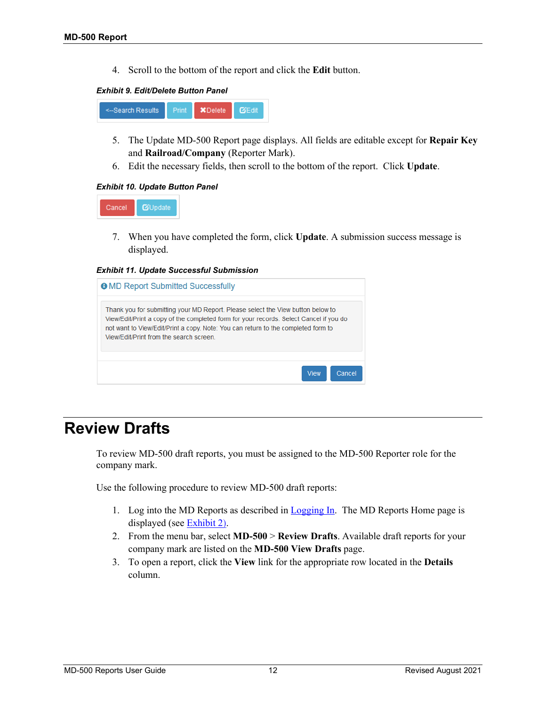4. Scroll to the bottom of the report and click the **Edit** button.

#### *Exhibit 9. Edit/Delete Button Panel*

<span id="page-13-1"></span>

- 5. The Update MD-500 Report page displays. All fields are editable except for **Repair Key** and **Railroad/Company** (Reporter Mark).
- 6. Edit the necessary fields, then scroll to the bottom of the report. Click **Update**.

### <span id="page-13-2"></span>*Exhibit 10. Update Button Panel*



7. When you have completed the form, click **Update**. A submission success message is displayed.

<span id="page-13-3"></span>*Exhibit 11. Update Successful Submission*

| <b>O</b> MD Report Submitted Successfully                                                                                                                                                                                                                                                                |                       |
|----------------------------------------------------------------------------------------------------------------------------------------------------------------------------------------------------------------------------------------------------------------------------------------------------------|-----------------------|
| Thank you for submitting your MD Report. Please select the View button below to<br>View/Edit/Print a copy of the completed form for your records. Select Cancel if you do<br>not want to View/Edit/Print a copy. Note: You can return to the completed form to<br>View/Edit/Print from the search screen |                       |
|                                                                                                                                                                                                                                                                                                          | <b>View</b><br>Cancel |

### <span id="page-13-0"></span>**Review Drafts**

To review MD-500 draft reports, you must be assigned to the MD-500 Reporter role for the company mark.

Use the following procedure to review MD-500 draft reports:

- 1. Log into the MD Reports as described in [Logging In.](#page-5-0) The MD Reports Home page is displayed (see [Exhibit 2\)](#page-5-3).
- 2. From the menu bar, select **MD-500** > **Review Drafts**. Available draft reports for your company mark are listed on the **MD-500 View Drafts** page.
- 3. To open a report, click the **View** link for the appropriate row located in the **Details** column.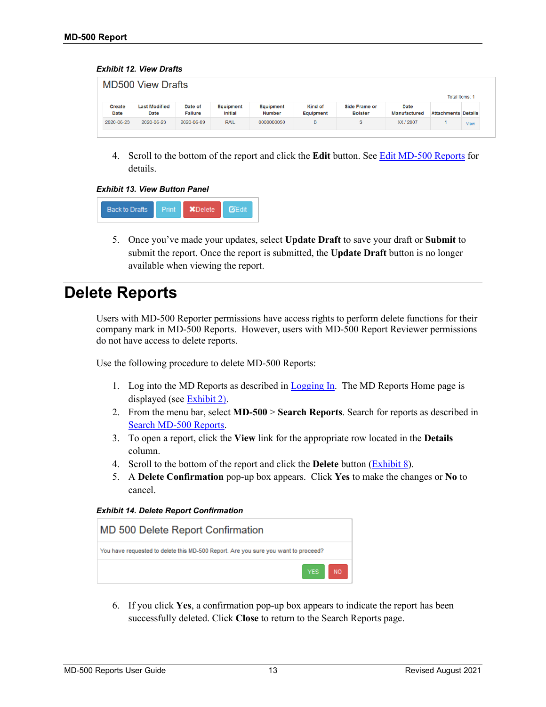#### <span id="page-14-1"></span>*Exhibit 12. View Drafts*

| <b>MD500 View Drafts</b><br>Total Items: 1 |                              |                           |                      |                     |                                    |                                        |                             |                            |      |
|--------------------------------------------|------------------------------|---------------------------|----------------------|---------------------|------------------------------------|----------------------------------------|-----------------------------|----------------------------|------|
| Create<br>Date                             | <b>Last Modified</b><br>Date | Date of<br><b>Failure</b> | Equipment<br>Initial | Equipment<br>Number | <b>Kind of</b><br><b>Equipment</b> | <b>Side Frame or</b><br><b>Bolster</b> | Date<br><b>Manufactured</b> | <b>Attachments Details</b> |      |
| 2020-06-23                                 | 2020-06-23                   | 2020-06-09                | <b>RAIL</b>          | 0000000050          | в                                  | S                                      | XX / 2007                   |                            | View |

4. Scroll to the bottom of the report and click the **Edit** button. See [Edit MD-500 Reports](#page-12-0) for details.

*Exhibit 13. View Button Panel*

<span id="page-14-2"></span>

5. Once you've made your updates, select **Update Draft** to save your draft or **Submit** to submit the report. Once the report is submitted, the **Update Draft** button is no longer available when viewing the report.

### <span id="page-14-0"></span>**Delete Reports**

Users with MD-500 Reporter permissions have access rights to perform delete functions for their company mark in MD-500 Reports. However, users with MD-500 Report Reviewer permissions do not have access to delete reports.

Use the following procedure to delete MD-500 Reports:

- 1. Log into the MD Reports as described in [Logging In.](#page-5-0) The MD Reports Home page is displayed (see [Exhibit 2\)](#page-5-3).
- 2. From the menu bar, select **MD-500** > **Search Reports**. Search for reports as described in [Search MD-500](#page-10-0) Reports.
- 3. To open a report, click the **View** link for the appropriate row located in the **Details** column.
- 4. Scroll to the bottom of the report and click the **Delete** button [\(Exhibit 8\)](#page-13-1).
- 5. A **Delete Confirmation** pop-up box appears. Click **Yes** to make the changes or **No** to cancel.

<span id="page-14-3"></span>*Exhibit 14. Delete Report Confirmation*



6. If you click **Yes**, a confirmation pop-up box appears to indicate the report has been successfully deleted. Click **Close** to return to the Search Reports page.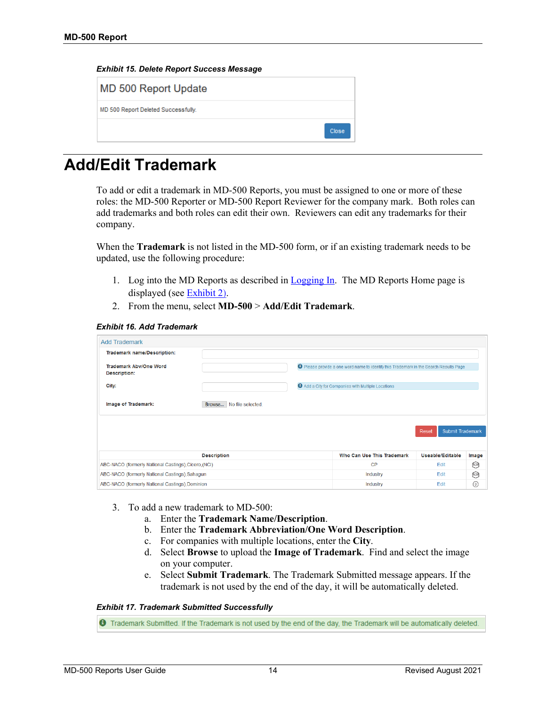<span id="page-15-1"></span>

| Exhibit 15. Delete Report Success Message |  |  |  |  |
|-------------------------------------------|--|--|--|--|
|-------------------------------------------|--|--|--|--|

**MD 500 Report Update** 

MD 500 Report Deleted Success

| sfully. |       |
|---------|-------|
|         | Close |

# <span id="page-15-0"></span>**Add/Edit Trademark**

To add or edit a trademark in MD-500 Reports, you must be assigned to one or more of these roles: the MD-500 Reporter or MD-500 Report Reviewer for the company mark. Both roles can add trademarks and both roles can edit their own. Reviewers can edit any trademarks for their company.

When the **Trademark** is not listed in the MD-500 form, or if an existing trademark needs to be updated, use the following procedure:

- 1. Log into the MD Reports as described in [Logging In.](#page-5-0) The MD Reports Home page is displayed (see [Exhibit 2\)](#page-5-3).
- 2. From the menu, select **MD-500** > **Add/Edit Trademark**.

#### <span id="page-15-2"></span>*Exhibit 16. Add Trademark*

| <b>Add Trademark</b>                                 |                            |                                                                                               |                           |                |
|------------------------------------------------------|----------------------------|-----------------------------------------------------------------------------------------------|---------------------------|----------------|
| <b>Trademark name/Description:</b>                   |                            |                                                                                               |                           |                |
| <b>Trademark Aby/One Word</b><br><b>Description:</b> |                            | <b>O</b> Please provide a one word name to identify this Trademark in the Search Results Page |                           |                |
| City:                                                |                            | Add a City for Companies with Multiple Locations                                              |                           |                |
| Image of Trademark:                                  | Browse   No file selected. |                                                                                               |                           |                |
|                                                      |                            |                                                                                               | Submit Trademark<br>Reset |                |
|                                                      | <b>Description</b>         | Who Can Use This Trademark                                                                    | Useable/Editable          | Image          |
| ABC-NACO (formerly National Castings), Cicero, (NCI) |                            | <b>CP</b>                                                                                     | Edit                      | $\circ$        |
| ABC-NACO (formerly National Castings), Sahagun       |                            | Industry                                                                                      | Edit                      | $\circ$        |
| ABC-NACO (formerly National Castings), Dominion      |                            | Industry                                                                                      | Edit                      | $\circledcirc$ |

- 3. To add a new trademark to MD-500:
	- a. Enter the **Trademark Name/Description**.
	- b. Enter the **Trademark Abbreviation/One Word Description**.
	- c. For companies with multiple locations, enter the **City**.
	- d. Select **Browse** to upload the **Image of Trademark**. Find and select the image on your computer.
	- e. Select **Submit Trademark**. The Trademark Submitted message appears. If the trademark is not used by the end of the day, it will be automatically deleted.

#### <span id="page-15-3"></span>*Exhibit 17. Trademark Submitted Successfully*

**O** Trademark Submitted. If the Trademark is not used by the end of the day, the Trademark will be automatically deleted.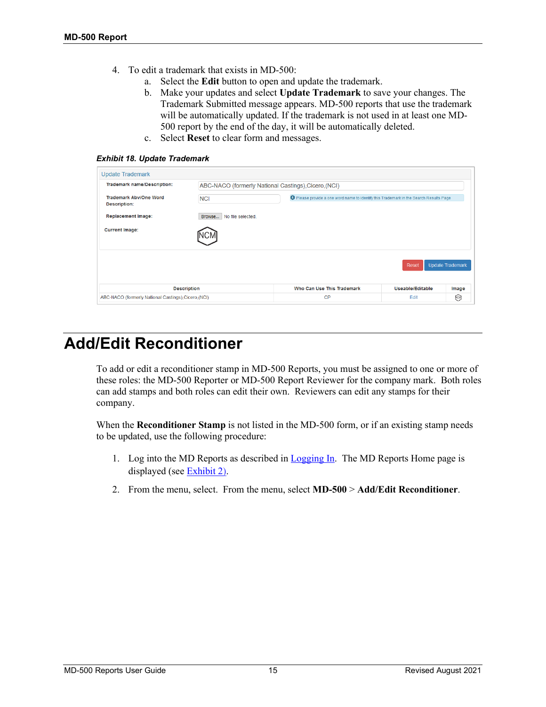- 4. To edit a trademark that exists in MD-500:
	- a. Select the **Edit** button to open and update the trademark.
	- b. Make your updates and select **Update Trademark** to save your changes. The Trademark Submitted message appears. MD-500 reports that use the trademark will be automatically updated. If the trademark is not used in at least one MD-500 report by the end of the day, it will be automatically deleted.
	- c. Select **Reset** to clear form and messages.

<span id="page-16-1"></span>*Exhibit 18. Update Trademark*

| <b>Update Trademark</b>                              |                                                      |                                                                                               |                  |                         |
|------------------------------------------------------|------------------------------------------------------|-----------------------------------------------------------------------------------------------|------------------|-------------------------|
| <b>Trademark name/Description:</b>                   | ABC-NACO (formerly National Castings), Cicero, (NCI) |                                                                                               |                  |                         |
| <b>Trademark Aby/One Word</b><br><b>Description:</b> | <b>NCI</b>                                           | <b>O</b> Please provide a one word name to identify this Trademark in the Search Results Page |                  |                         |
| <b>Replacement Image:</b>                            | Browse<br>No file selected.                          |                                                                                               |                  |                         |
| <b>Current Image:</b>                                |                                                      |                                                                                               |                  |                         |
|                                                      |                                                      |                                                                                               | Reset            | <b>Update Trademark</b> |
|                                                      | <b>Description</b>                                   | Who Can Use This Trademark                                                                    | Useable/Editable | Image                   |
| ABC-NACO (formerly National Castings), Cicero, (NCI) |                                                      | CP                                                                                            | Edit             | [NCM]                   |

### <span id="page-16-0"></span>**Add/Edit Reconditioner**

To add or edit a reconditioner stamp in MD-500 Reports, you must be assigned to one or more of these roles: the MD-500 Reporter or MD-500 Report Reviewer for the company mark. Both roles can add stamps and both roles can edit their own. Reviewers can edit any stamps for their company.

When the **Reconditioner Stamp** is not listed in the MD-500 form, or if an existing stamp needs to be updated, use the following procedure:

- 1. Log into the MD Reports as described in [Logging In.](#page-5-0) The MD Reports Home page is displayed (see [Exhibit 2\)](#page-5-3).
- 2. From the menu, select. From the menu, select **MD-500** > **Add/Edit Reconditioner**.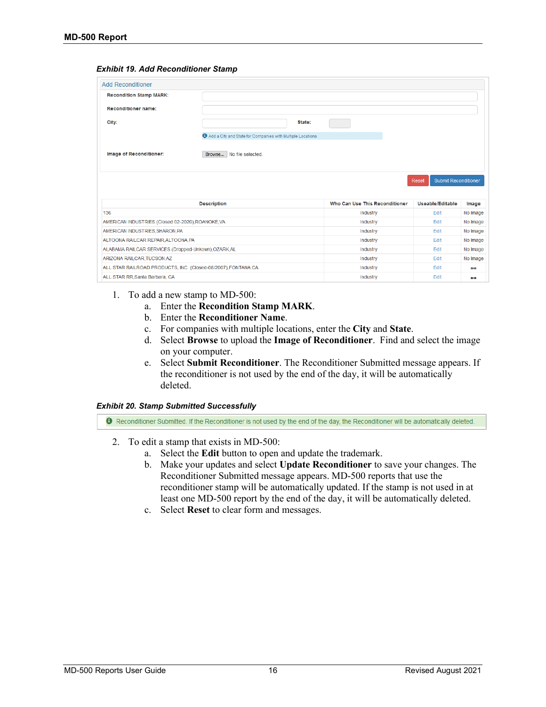#### <span id="page-17-0"></span>*Exhibit 19. Add Reconditioner Stamp*

| <b>Add Reconditioner</b>                                       |                                                            |                                |                                      |               |
|----------------------------------------------------------------|------------------------------------------------------------|--------------------------------|--------------------------------------|---------------|
| <b>Recondition Stamp MARK:</b>                                 |                                                            |                                |                                      |               |
| <b>Reconditioner name:</b>                                     |                                                            |                                |                                      |               |
| City:                                                          | State:                                                     |                                |                                      |               |
|                                                                |                                                            |                                |                                      |               |
|                                                                | Add a City and State for Companies with Multiple Locations |                                |                                      |               |
|                                                                |                                                            |                                |                                      |               |
| Image of Reconditioner:                                        | Browse No file selected.                                   |                                |                                      |               |
|                                                                |                                                            |                                |                                      |               |
|                                                                |                                                            |                                |                                      |               |
|                                                                |                                                            |                                | <b>Submit Reconditioner</b><br>Reset |               |
|                                                                |                                                            |                                |                                      |               |
|                                                                |                                                            |                                |                                      |               |
|                                                                | <b>Description</b>                                         | Who Can Use This Reconditioner | Useable/Editable                     | Image         |
| 136                                                            |                                                            | Industry                       | Edit                                 | No Image      |
| AMERICAN INDUSTRIES (Closed 02-2020), ROANOKE, VA              |                                                            | Industry                       | Fdit                                 | No Image      |
| AMERICAN INDUSTRIES.SHARON.PA                                  |                                                            | Industry                       | Edit                                 | No Image      |
| ALTOONA RAILCAR REPAIR, ALTOONA, PA                            |                                                            | Industry                       | Edit                                 | No Image      |
| ALABAMA RAILCAR SERVICES (Dropped-Unkown), OZARK, AL           |                                                            | Industry                       | Edit                                 | No Image      |
| ARIZONA RAILCAR, TUCSON, AZ                                    |                                                            | Industry                       | Edit                                 | No Image      |
| ALL STAR RAILROAD PRODUCTS, INC. (Closed-08/2007), FONTANA, CA |                                                            | Industry                       | Edit                                 |               |
|                                                                |                                                            |                                |                                      | $\frac{1}{2}$ |

- 1. To add a new stamp to MD-500:
	- a. Enter the **Recondition Stamp MARK**.
	- b. Enter the **Reconditioner Name**.
	- c. For companies with multiple locations, enter the **City** and **State**.
	- d. Select **Browse** to upload the **Image of Reconditioner**. Find and select the image on your computer.
	- e. Select **Submit Reconditioner**. The Reconditioner Submitted message appears. If the reconditioner is not used by the end of the day, it will be automatically deleted.

#### <span id="page-17-1"></span>*Exhibit 20. Stamp Submitted Successfully*

**O** Reconditioner Submitted. If the Reconditioner is not used by the end of the day, the Reconditioner will be automatically deleted.

- 2. To edit a stamp that exists in MD-500:
	- a. Select the **Edit** button to open and update the trademark.
	- b. Make your updates and select **Update Reconditioner** to save your changes. The Reconditioner Submitted message appears. MD-500 reports that use the reconditioner stamp will be automatically updated. If the stamp is not used in at least one MD-500 report by the end of the day, it will be automatically deleted.
	- c. Select **Reset** to clear form and messages.